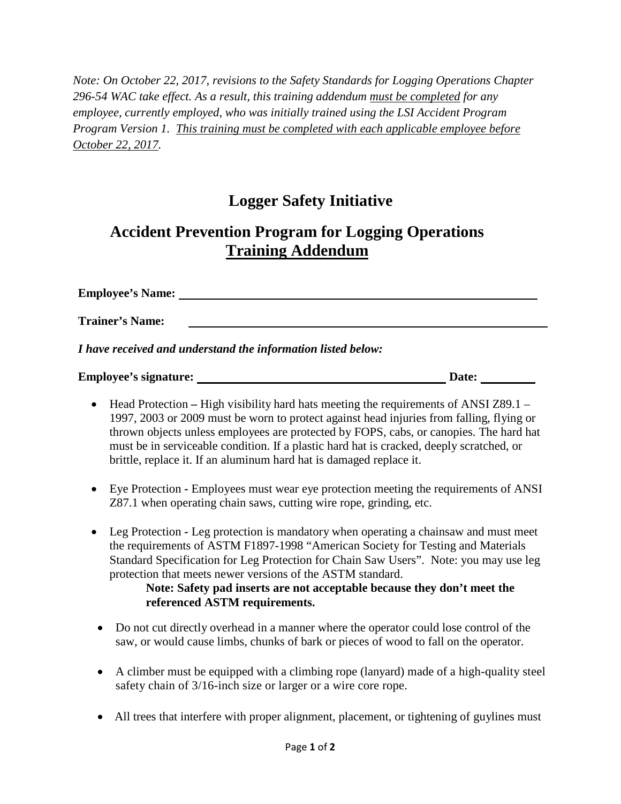*Note: On October 22, 2017, revisions to the Safety Standards for Logging Operations Chapter 296-54 WAC take effect. As a result, this training addendum must be completed for any employee, currently employed, who was initially trained using the LSI Accident Program Program Version 1. This training must be completed with each applicable employee before October 22, 2017.*

## **Logger Safety Initiative**

## **Accident Prevention Program for Logging Operations Training Addendum**

**Employee's Name: Trainer's Name:** *I have received and understand the information listed below:*

**Employee's signature: Date:**

- Head Protection High visibility hard hats meeting the requirements of ANSI Z89.1 1997, 2003 or 2009 must be worn to protect against head injuries from falling, flying or thrown objects unless employees are protected by FOPS, cabs, or canopies. The hard hat must be in serviceable condition. If a plastic hard hat is cracked, deeply scratched, or brittle, replace it. If an aluminum hard hat is damaged replace it.
- Eye Protection *-* Employees must wear eye protection meeting the requirements of ANSI Z87.1 when operating chain saws, cutting wire rope, grinding, etc.
- Leg Protection *-* Leg protection is mandatory when operating a chainsaw and must meet the requirements of ASTM F1897-1998 "American Society for Testing and Materials Standard Specification for Leg Protection for Chain Saw Users". Note: you may use leg protection that meets newer versions of the ASTM standard.

## **Note: Safety pad inserts are not acceptable because they don't meet the referenced ASTM requirements.**

- Do not cut directly overhead in a manner where the operator could lose control of the saw, or would cause limbs, chunks of bark or pieces of wood to fall on the operator.
- A climber must be equipped with a climbing rope (lanyard) made of a high-quality steel safety chain of 3/16-inch size or larger or a wire core rope.
- All trees that interfere with proper alignment, placement, or tightening of guylines must